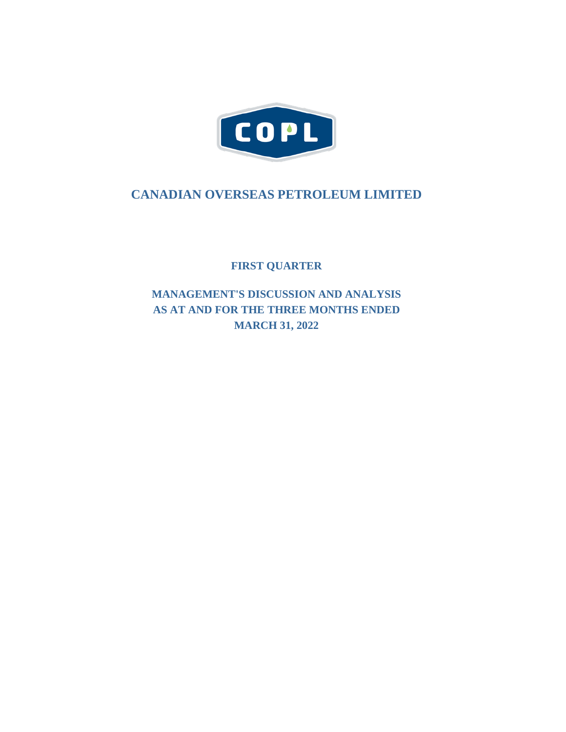

# **CANADIAN OVERSEAS PETROLEUM LIMITED**

**FIRST QUARTER**

**MANAGEMENT'S DISCUSSION AND ANALYSIS AS AT AND FOR THE THREE MONTHS ENDED MARCH 31, 2022**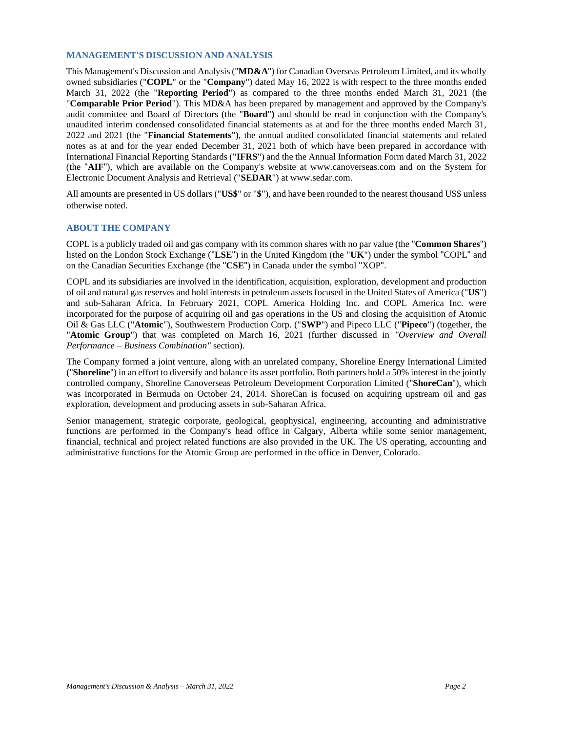### **MANAGEMENT'S DISCUSSION AND ANALYSIS**

This Management's Discussion and Analysis ("**MD&A**") for Canadian Overseas Petroleum Limited, and its wholly owned subsidiaries ("**COPL**" or the "**Company**") dated May 16, 2022 is with respect to the three months ended March 31, 2022 (the "**Reporting Period**") as compared to the three months ended March 31, 2021 (the "**Comparable Prior Period**"). This MD&A has been prepared by management and approved by the Company's audit committee and Board of Directors (the "**Board**"**)** and should be read in conjunction with the Company's unaudited interim condensed consolidated financial statements as at and for the three months ended March 31, 2022 and 2021 (the "**Financial Statements**"), the annual audited consolidated financial statements and related notes as at and for the year ended December 31, 2021 both of which have been prepared in accordance with International Financial Reporting Standards ("**IFRS**") and the the Annual Information Form dated March 31, 2022 (the "**AIF**"), which are available on the Company's website at [www.canoverseas.com](http://www.canoverseas.com/) and on the System for Electronic Document Analysis and Retrieval ("**SEDAR**") at [www.sedar.com.](http://www.sedar.com/)

All amounts are presented in US dollars ("**US\$**" or "**\$**"), and have been rounded to the nearest thousand US\$ unless otherwise noted.

# **ABOUT THE COMPANY**

COPL is a publicly traded oil and gas company with its common shares with no par value (the "**Common Shares**") listed on the London Stock Exchange ("**LSE**") in the United Kingdom (the "**UK**") under the symbol "COPL" and on the Canadian Securities Exchange (the "**CSE**") in Canada under the symbol "XOP".

COPL and its subsidiaries are involved in the identification, acquisition, exploration, development and production of oil and natural gas reserves and hold interests in petroleum assets focused in the United States of America ("**US**") and sub-Saharan Africa. In February 2021, COPL America Holding Inc. and COPL America Inc. were incorporated for the purpose of acquiring oil and gas operations in the US and closing the acquisition of Atomic Oil & Gas LLC ("**Atomic**"), Southwestern Production Corp. ("**SWP**") and Pipeco LLC ("**Pipeco**") (together, the "**Atomic Group**") that was completed on March 16, 2021 (further discussed in *"Overview and Overall Performance – Business Combination"* section).

The Company formed a joint venture, along with an unrelated company, Shoreline Energy International Limited ("**Shoreline**") in an effort to diversify and balance its asset portfolio. Both partners hold a 50% interest in the jointly controlled company, Shoreline Canoverseas Petroleum Development Corporation Limited ("**ShoreCan**"), which was incorporated in Bermuda on October 24, 2014. ShoreCan is focused on acquiring upstream oil and gas exploration, development and producing assets in sub-Saharan Africa.

Senior management, strategic corporate, geological, geophysical, engineering, accounting and administrative functions are performed in the Company's head office in Calgary, Alberta while some senior management, financial, technical and project related functions are also provided in the UK. The US operating, accounting and administrative functions for the Atomic Group are performed in the office in Denver, Colorado.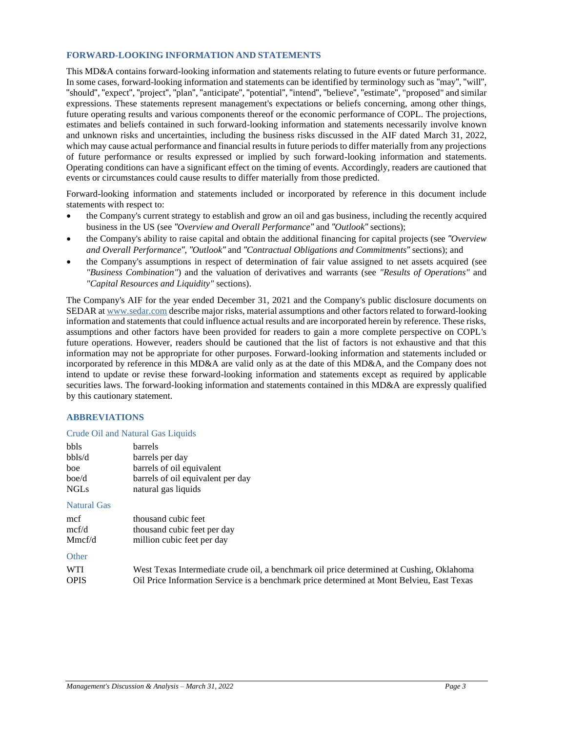# **FORWARD-LOOKING INFORMATION AND STATEMENTS**

This MD&A contains forward-looking information and statements relating to future events or future performance. In some cases, forward-looking information and statements can be identified by terminology such as "may", "will", "should", "expect", "project", "plan", "anticipate", "potential", "intend", "believe", "estimate", "proposed" and similar expressions. These statements represent management's expectations or beliefs concerning, among other things, future operating results and various components thereof or the economic performance of COPL. The projections, estimates and beliefs contained in such forward-looking information and statements necessarily involve known and unknown risks and uncertainties, including the business risks discussed in the AIF dated March 31, 2022, which may cause actual performance and financial results in future periods to differ materially from any projections of future performance or results expressed or implied by such forward-looking information and statements. Operating conditions can have a significant effect on the timing of events. Accordingly, readers are cautioned that events or circumstances could cause results to differ materially from those predicted.

Forward-looking information and statements included or incorporated by reference in this document include statements with respect to:

- the Company's current strategy to establish and grow an oil and gas business, including the recently acquired business in the US (see *"Overview and Overall Performance"* and *"Outlook"* sections);
- the Company's ability to raise capital and obtain the additional financing for capital projects (see *"Overview and Overall Performance"*, *"Outlook"* and *"Contractual Obligations and Commitments"* sections); and
- the Company's assumptions in respect of determination of fair value assigned to net assets acquired (see *"Business Combination"*) and the valuation of derivatives and warrants (see *"Results of Operations"* and *"Capital Resources and Liquidity"* sections).

The Company's AIF for the year ended December 31, 2021 and the Company's public disclosure documents on SEDAR at [www.sedar.com](http://www.sedar.com/) describe major risks, material assumptions and other factors related to forward-looking information and statements that could influence actual results and are incorporated herein by reference. These risks, assumptions and other factors have been provided for readers to gain a more complete perspective on COPL's future operations. However, readers should be cautioned that the list of factors is not exhaustive and that this information may not be appropriate for other purposes. Forward-looking information and statements included or incorporated by reference in this MD&A are valid only as at the date of this MD&A, and the Company does not intend to update or revise these forward-looking information and statements except as required by applicable securities laws. The forward-looking information and statements contained in this MD&A are expressly qualified by this cautionary statement.

# **ABBREVIATIONS**

### Crude Oil and Natural Gas Liquids

| bbls        | barrels                           |
|-------------|-----------------------------------|
| bbls/d      | barrels per day                   |
| boe         | barrels of oil equivalent         |
| boe/d       | barrels of oil equivalent per day |
| <b>NGLs</b> | natural gas liquids               |

Natural Gas

| mcf    | thousand cubic feet         |
|--------|-----------------------------|
| mcf/d  | thousand cubic feet per day |
| Mmcf/d | million cubic feet per day  |

# **Other**

| WTI  | West Texas Intermediate crude oil, a benchmark oil price determined at Cushing, Oklahoma  |
|------|-------------------------------------------------------------------------------------------|
| OPIS | Oil Price Information Service is a benchmark price determined at Mont Belvieu, East Texas |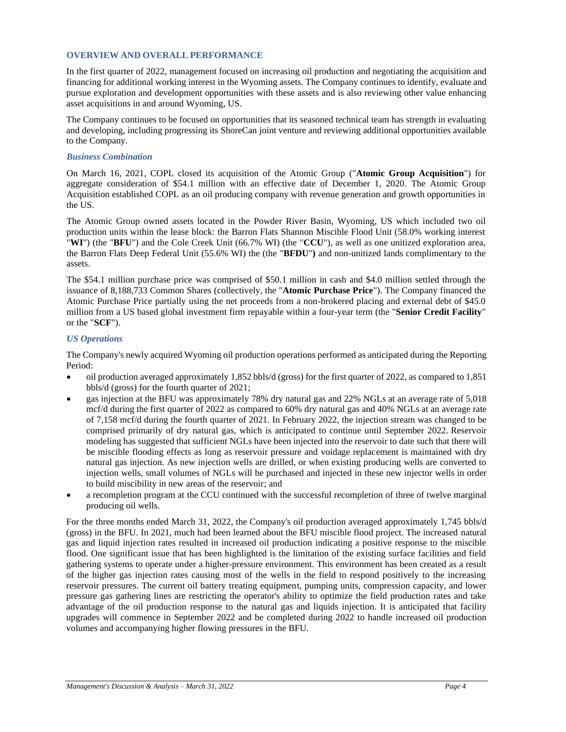## **OVERVIEW AND OVERALL PERFORMANCE**

In the first quarter of 2022, management focused on increasing oil production and negotiating the acquisition and financing for additional working interest in the Wyoming assets. The Company continues to identify, evaluate and pursue exploration and development opportunities with these assets and is also reviewing other value enhancing asset acquisitions in and around Wyoming, US.

The Company continues to be focused on opportunities that its seasoned technical team has strength in evaluating and developing, including progressing its ShoreCan joint venture and reviewing additional opportunities available to the Company.

# *Business Combination*

On March 16, 2021, COPL closed its acquisition of the Atomic Group ("**Atomic Group Acquisition**") for aggregate consideration of \$54.1 million with an effective date of December 1, 2020. The Atomic Group Acquisition established COPL as an oil producing company with revenue generation and growth opportunities in the US.

The Atomic Group owned assets located in the Powder River Basin, Wyoming, US which included two oil production units within the lease block: the Barron Flats Shannon Miscible Flood Unit (58.0% working interest "**WI**") (the "**BFU**") and the Cole Creek Unit (66.7% WI) (the "**CCU**"), as well as one unitized exploration area, the Barron Flats Deep Federal Unit (55.6% WI) the (the "**BFDU**"**)** and non-unitized lands complimentary to the assets.

The \$54.1 million purchase price was comprised of \$50.1 million in cash and \$4.0 million settled through the issuance of 8,188,733 Common Shares (collectively, the "**Atomic Purchase Price**"). The Company financed the Atomic Purchase Price partially using the net proceeds from a non-brokered placing and external debt of \$45.0 million from a US based global investment firm repayable within a four-year term (the "**Senior Credit Facility**" or the "**SCF**").

# *US Operations*

The Company's newly acquired Wyoming oil production operations performed as anticipated during the Reporting Period:

- oil production averaged approximately 1,852 bbls/d (gross) for the first quarter of 2022, as compared to 1,851 bbls/d (gross) for the fourth quarter of 2021;
- gas injection at the BFU was approximately 78% dry natural gas and 22% NGLs at an average rate of 5,018 mcf/d during the first quarter of 2022 as compared to 60% dry natural gas and 40% NGLs at an average rate of 7,158 mcf/d during the fourth quarter of 2021. In February 2022, the injection stream was changed to be comprised primarily of dry natural gas, which is anticipated to continue until September 2022. Reservoir modeling has suggested that sufficient NGLs have been injected into the reservoir to date such that there will be miscible flooding effects as long as reservoir pressure and voidage replacement is maintained with dry natural gas injection. As new injection wells are drilled, or when existing producing wells are converted to injection wells, small volumes of NGLs will be purchased and injected in these new injector wells in order to build miscibility in new areas of the reservoir; and
- a recompletion program at the CCU continued with the successful recompletion of three of twelve marginal producing oil wells.

For the three months ended March 31, 2022, the Company's oil production averaged approximately 1,745 bbls/d (gross) in the BFU. In 2021, much had been learned about the BFU miscible flood project. The increased natural gas and liquid injection rates resulted in increased oil production indicating a positive response to the miscible flood. One significant issue that has been highlighted is the limitation of the existing surface facilities and field gathering systems to operate under a higher-pressure environment. This environment has been created as a result of the higher gas injection rates causing most of the wells in the field to respond positively to the increasing reservoir pressures. The current oil battery treating equipment, pumping units, compression capacity, and lower pressure gas gathering lines are restricting the operator's ability to optimize the field production rates and take advantage of the oil production response to the natural gas and liquids injection. It is anticipated that facility upgrades will commence in September 2022 and be completed during 2022 to handle increased oil production volumes and accompanying higher flowing pressures in the BFU.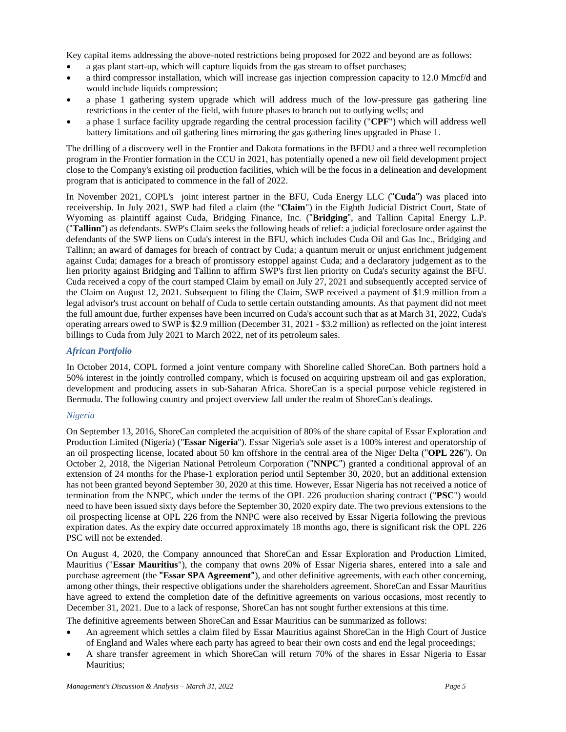Key capital items addressing the above-noted restrictions being proposed for 2022 and beyond are as follows:

- a gas plant start-up, which will capture liquids from the gas stream to offset purchases;
- a third compressor installation, which will increase gas injection compression capacity to 12.0 Mmcf/d and would include liquids compression;
- a phase 1 gathering system upgrade which will address much of the low-pressure gas gathering line restrictions in the center of the field, with future phases to branch out to outlying wells; and
- a phase 1 surface facility upgrade regarding the central procession facility ("**CPF**") which will address well battery limitations and oil gathering lines mirroring the gas gathering lines upgraded in Phase 1.

The drilling of a discovery well in the Frontier and Dakota formations in the BFDU and a three well recompletion program in the Frontier formation in the CCU in 2021, has potentially opened a new oil field development project close to the Company's existing oil production facilities, which will be the focus in a delineation and development program that is anticipated to commence in the fall of 2022.

In November 2021, COPL's joint interest partner in the BFU, Cuda Energy LLC ("**Cuda**") was placed into receivership. In July 2021, SWP had filed a claim (the "**Claim**") in the Eighth Judicial District Court, State of Wyoming as plaintiff against Cuda, Bridging Finance, Inc. ("**Bridging**", and Tallinn Capital Energy L.P. ("**Tallinn**") as defendants. SWP's Claim seeks the following heads of relief: a judicial foreclosure order against the defendants of the SWP liens on Cuda's interest in the BFU, which includes Cuda Oil and Gas Inc., Bridging and Tallinn; an award of damages for breach of contract by Cuda; a quantum meruit or unjust enrichment judgement against Cuda; damages for a breach of promissory estoppel against Cuda; and a declaratory judgement as to the lien priority against Bridging and Tallinn to affirm SWP's first lien priority on Cuda's security against the BFU. Cuda received a copy of the court stamped Claim by email on July 27, 2021 and subsequently accepted service of the Claim on August 12, 2021. Subsequent to filing the Claim, SWP received a payment of \$1.9 million from a legal advisor's trust account on behalf of Cuda to settle certain outstanding amounts. As that payment did not meet the full amount due, further expenses have been incurred on Cuda's account such that as at March 31, 2022, Cuda's operating arrears owed to SWP is \$2.9 million (December 31, 2021 - \$3.2 million) as reflected on the joint interest billings to Cuda from July 2021 to March 2022, net of its petroleum sales.

# *African Portfolio*

In October 2014, COPL formed a joint venture company with Shoreline called ShoreCan. Both partners hold a 50% interest in the jointly controlled company, which is focused on acquiring upstream oil and gas exploration, development and producing assets in sub-Saharan Africa. ShoreCan is a special purpose vehicle registered in Bermuda. The following country and project overview fall under the realm of ShoreCan's dealings.

# *Nigeria*

On September 13, 2016, ShoreCan completed the acquisition of 80% of the share capital of Essar Exploration and Production Limited (Nigeria) ("**Essar Nigeria**"). Essar Nigeria's sole asset is a 100% interest and operatorship of an oil prospecting license, located about 50 km offshore in the central area of the Niger Delta ("**OPL 226**"). On October 2, 2018, the Nigerian National Petroleum Corporation ("**NNPC**") granted a conditional approval of an extension of 24 months for the Phase-1 exploration period until September 30, 2020, but an additional extension has not been granted beyond September 30, 2020 at this time. However, Essar Nigeria has not received a notice of termination from the NNPC, which under the terms of the OPL 226 production sharing contract ("**PSC**") would need to have been issued sixty days before the September 30, 2020 expiry date. The two previous extensions to the oil prospecting license at OPL 226 from the NNPC were also received by Essar Nigeria following the previous expiration dates. As the expiry date occurred approximately 18 months ago, there is significant risk the OPL 226 PSC will not be extended.

On August 4, 2020, the Company announced that ShoreCan and Essar Exploration and Production Limited, Mauritius ("**Essar Mauritius**"), the company that owns 20% of Essar Nigeria shares, entered into a sale and purchase agreement (the **"Essar SPA Agreement"**), and other definitive agreements, with each other concerning, among other things, their respective obligations under the shareholders agreement. ShoreCan and Essar Mauritius have agreed to extend the completion date of the definitive agreements on various occasions, most recently to December 31, 2021. Due to a lack of response, ShoreCan has not sought further extensions at this time.

The definitive agreements between ShoreCan and Essar Mauritius can be summarized as follows:

- An agreement which settles a claim filed by Essar Mauritius against ShoreCan in the High Court of Justice of England and Wales where each party has agreed to bear their own costs and end the legal proceedings;
- A share transfer agreement in which ShoreCan will return 70% of the shares in Essar Nigeria to Essar Mauritius;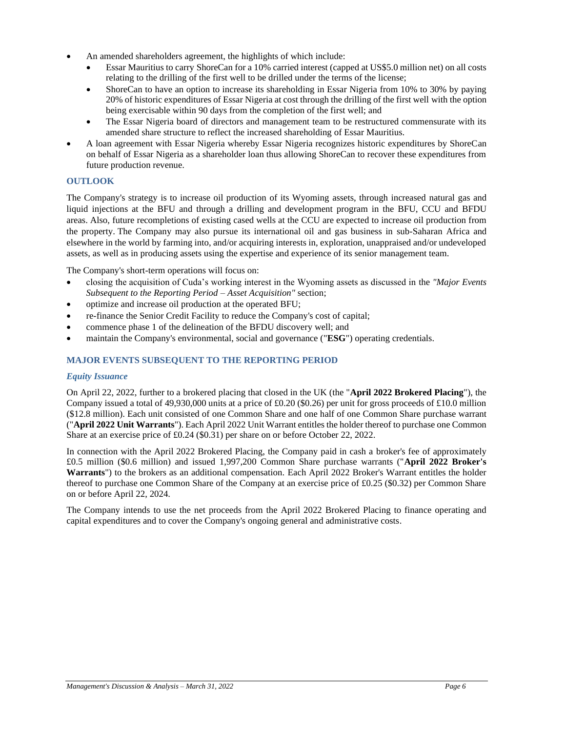- An amended shareholders agreement, the highlights of which include:
	- Essar Mauritius to carry ShoreCan for a 10% carried interest (capped at US\$5.0 million net) on all costs relating to the drilling of the first well to be drilled under the terms of the license;
	- ShoreCan to have an option to increase its shareholding in Essar Nigeria from 10% to 30% by paying 20% of historic expenditures of Essar Nigeria at cost through the drilling of the first well with the option being exercisable within 90 days from the completion of the first well; and
	- The Essar Nigeria board of directors and management team to be restructured commensurate with its amended share structure to reflect the increased shareholding of Essar Mauritius.
- A loan agreement with Essar Nigeria whereby Essar Nigeria recognizes historic expenditures by ShoreCan on behalf of Essar Nigeria as a shareholder loan thus allowing ShoreCan to recover these expenditures from future production revenue.

# **OUTLOOK**

The Company's strategy is to increase oil production of its Wyoming assets, through increased natural gas and liquid injections at the BFU and through a drilling and development program in the BFU, CCU and BFDU areas. Also, future recompletions of existing cased wells at the CCU are expected to increase oil production from the property. The Company may also pursue its international oil and gas business in sub-Saharan Africa and elsewhere in the world by farming into, and/or acquiring interests in, exploration, unappraised and/or undeveloped assets, as well as in producing assets using the expertise and experience of its senior management team.

The Company's short-term operations will focus on:

- closing the acquisition of Cuda's working interest in the Wyoming assets as discussed in the *"Major Events Subsequent to the Reporting Period – Asset Acquisition"* section;
- optimize and increase oil production at the operated BFU;
- re-finance the Senior Credit Facility to reduce the Company's cost of capital;
- commence phase 1 of the delineation of the BFDU discovery well; and
- maintain the Company's environmental, social and governance ("**ESG**") operating credentials.

# **MAJOR EVENTS SUBSEQUENT TO THE REPORTING PERIOD**

# *Equity Issuance*

On April 22, 2022, further to a brokered placing that closed in the UK (the "**April 2022 Brokered Placing**"), the Company issued a total of 49,930,000 units at a price of £0.20 (\$0.26) per unit for gross proceeds of £10.0 million (\$12.8 million). Each unit consisted of one Common Share and one half of one Common Share purchase warrant ("**April 2022 Unit Warrants**"). Each April 2022 Unit Warrant entitles the holder thereof to purchase one Common Share at an exercise price of £0.24 (\$0.31) per share on or before October 22, 2022.

In connection with the April 2022 Brokered Placing, the Company paid in cash a broker's fee of approximately £0.5 million (\$0.6 million) and issued 1,997,200 Common Share purchase warrants ("**April 2022 Broker's Warrants**") to the brokers as an additional compensation. Each April 2022 Broker's Warrant entitles the holder thereof to purchase one Common Share of the Company at an exercise price of £0.25 (\$0.32) per Common Share on or before April 22, 2024.

The Company intends to use the net proceeds from the April 2022 Brokered Placing to finance operating and capital expenditures and to cover the Company's ongoing general and administrative costs.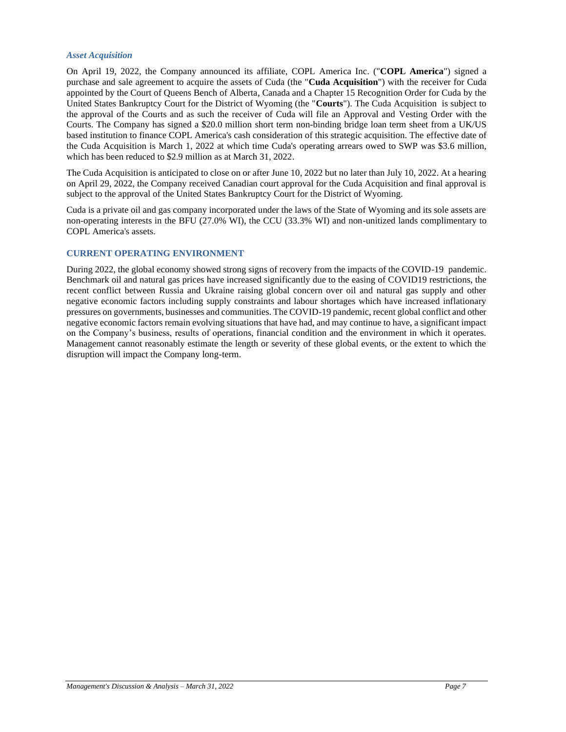### *Asset Acquisition*

On April 19, 2022, the Company announced its affiliate, COPL America Inc. ("**COPL America**") signed a purchase and sale agreement to acquire the assets of Cuda (the "**Cuda Acquisition**") with the receiver for Cuda appointed by the Court of Queens Bench of Alberta, Canada and a Chapter 15 Recognition Order for Cuda by the United States Bankruptcy Court for the District of Wyoming (the "**Courts**"). The Cuda Acquisition is subject to the approval of the Courts and as such the receiver of Cuda will file an Approval and Vesting Order with the Courts. The Company has signed a \$20.0 million short term non-binding bridge loan term sheet from a UK/US based institution to finance COPL America's cash consideration of this strategic acquisition. The effective date of the Cuda Acquisition is March 1, 2022 at which time Cuda's operating arrears owed to SWP was \$3.6 million, which has been reduced to \$2.9 million as at March 31, 2022.

The Cuda Acquisition is anticipated to close on or after June 10, 2022 but no later than July 10, 2022. At a hearing on April 29, 2022, the Company received Canadian court approval for the Cuda Acquisition and final approval is subject to the approval of the United States Bankruptcy Court for the District of Wyoming.

Cuda is a private oil and gas company incorporated under the laws of the State of Wyoming and its sole assets are non-operating interests in the BFU (27.0% WI), the CCU (33.3% WI) and non-unitized lands complimentary to COPL America's assets.

# **CURRENT OPERATING ENVIRONMENT**

During 2022, the global economy showed strong signs of recovery from the impacts of the COVID-19 pandemic. Benchmark oil and natural gas prices have increased significantly due to the easing of COVID19 restrictions, the recent conflict between Russia and Ukraine raising global concern over oil and natural gas supply and other negative economic factors including supply constraints and labour shortages which have increased inflationary pressures on governments, businesses and communities. The COVID-19 pandemic, recent global conflict and other negative economic factors remain evolving situations that have had, and may continue to have, a significant impact on the Company's business, results of operations, financial condition and the environment in which it operates. Management cannot reasonably estimate the length or severity of these global events, or the extent to which the disruption will impact the Company long-term.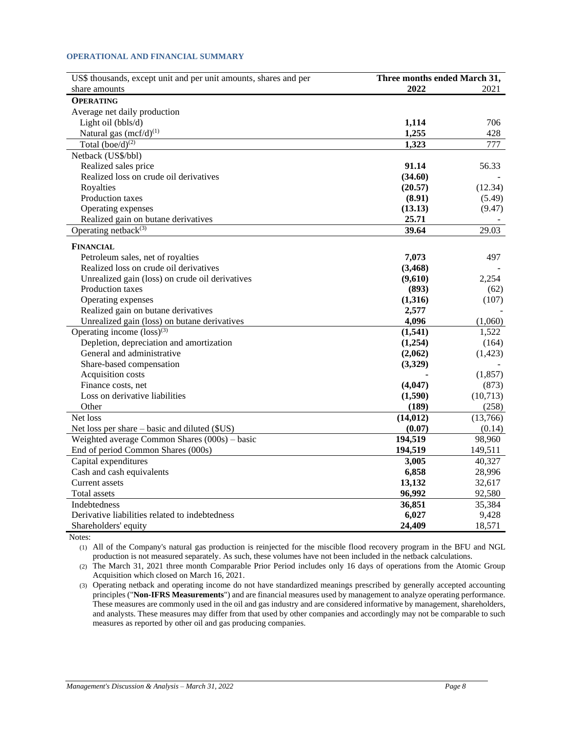### **OPERATIONAL AND FINANCIAL SUMMARY**

| US\$ thousands, except unit and per unit amounts, shares and per | Three months ended March 31, |          |
|------------------------------------------------------------------|------------------------------|----------|
| share amounts                                                    | 2022                         | 2021     |
| <b>OPERATING</b>                                                 |                              |          |
| Average net daily production                                     |                              |          |
| Light oil (bbls/d)                                               | 1,114                        | 706      |
| Natural gas $(mcf/d)^{(1)}$                                      | 1,255                        | 428      |
| Total $(boe/d)^{(2)}$                                            | 1,323                        | 777      |
| Netback (US\$/bbl)                                               |                              |          |
| Realized sales price                                             | 91.14                        | 56.33    |
| Realized loss on crude oil derivatives                           | (34.60)                      |          |
| Royalties                                                        | (20.57)                      | (12.34)  |
| Production taxes                                                 | (8.91)                       | (5.49)   |
| Operating expenses                                               | (13.13)                      | (9.47)   |
| Realized gain on butane derivatives                              | 25.71                        |          |
| Operating netback $(3)$                                          | 39.64                        | 29.03    |
| <b>FINANCIAL</b>                                                 |                              |          |
| Petroleum sales, net of royalties                                | 7,073                        | 497      |
| Realized loss on crude oil derivatives                           | (3, 468)                     |          |
| Unrealized gain (loss) on crude oil derivatives                  | (9,610)                      | 2,254    |
| <b>Production taxes</b>                                          | (893)                        | (62)     |
| Operating expenses                                               | (1,316)                      | (107)    |
| Realized gain on butane derivatives                              | 2,577                        |          |
| Unrealized gain (loss) on butane derivatives                     | 4,096                        | (1,060)  |
| Operating income $(\text{loss})^{(3)}$                           | (1,541)                      | 1,522    |
| Depletion, depreciation and amortization                         | (1,254)                      | (164)    |
| General and administrative                                       | (2,062)                      | (1, 423) |
| Share-based compensation                                         | (3,329)                      |          |
| Acquisition costs                                                |                              | (1,857)  |
| Finance costs, net                                               | (4,047)                      | (873)    |
| Loss on derivative liabilities                                   | (1,590)                      | (10,713) |
| Other                                                            | (189)                        | (258)    |
| Net loss                                                         | (14, 012)                    | (13,766) |
| Net loss per share – basic and diluted (\$US)                    | (0.07)                       | (0.14)   |
| Weighted average Common Shares $(000s)$ – basic                  | 194,519                      | 98,960   |
| End of period Common Shares (000s)                               | 194,519                      | 149,511  |
| Capital expenditures                                             | 3,005                        | 40,327   |
| Cash and cash equivalents                                        | 6,858                        | 28,996   |
| <b>Current assets</b>                                            | 13,132                       | 32,617   |
| Total assets                                                     | 96,992                       | 92,580   |
| <b>Indebtedness</b>                                              | 36,851                       | 35,384   |
| Derivative liabilities related to indebtedness                   | 6,027                        | 9,428    |
| Shareholders' equity                                             | 24,409                       | 18,571   |

Notes:

(1) All of the Company's natural gas production is reinjected for the miscible flood recovery program in the BFU and NGL production is not measured separately. As such, these volumes have not been included in the netback calculations.

(2) The March 31, 2021 three month Comparable Prior Period includes only 16 days of operations from the Atomic Group Acquisition which closed on March 16, 2021.

(3) Operating netback and operating income do not have standardized meanings prescribed by generally accepted accounting principles ("**Non-IFRS Measurements**") and are financial measures used by management to analyze operating performance. These measures are commonly used in the oil and gas industry and are considered informative by management, shareholders, and analysts. These measures may differ from that used by other companies and accordingly may not be comparable to such measures as reported by other oil and gas producing companies.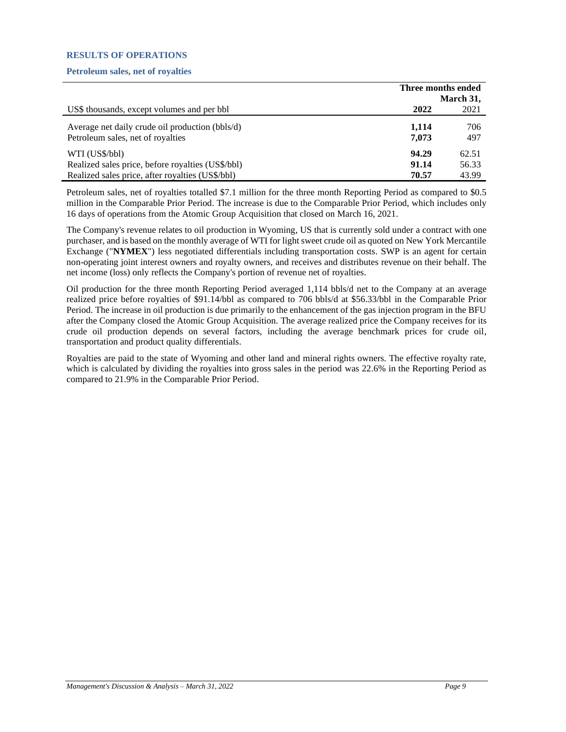# **RESULTS OF OPERATIONS**

# **Petroleum sales, net of royalties**

|                                                                                                                         | Three months ended      |                         |
|-------------------------------------------------------------------------------------------------------------------------|-------------------------|-------------------------|
|                                                                                                                         |                         | March 31,               |
| US\$ thousands, except volumes and per bbl                                                                              | 2022                    | 2021                    |
| Average net daily crude oil production (bbls/d)<br>Petroleum sales, net of royalties                                    | 1.114<br>7.073          | 706<br>497              |
| WTI (US\$/bbl)<br>Realized sales price, before royalties (US\$/bbl)<br>Realized sales price, after royalties (US\$/bbl) | 94.29<br>91.14<br>70.57 | 62.51<br>56.33<br>43.99 |

Petroleum sales, net of royalties totalled \$7.1 million for the three month Reporting Period as compared to \$0.5 million in the Comparable Prior Period. The increase is due to the Comparable Prior Period, which includes only 16 days of operations from the Atomic Group Acquisition that closed on March 16, 2021.

The Company's revenue relates to oil production in Wyoming, US that is currently sold under a contract with one purchaser, and is based on the monthly average of WTI for light sweet crude oil as quoted on New York Mercantile Exchange ("**NYMEX**") less negotiated differentials including transportation costs. SWP is an agent for certain non-operating joint interest owners and royalty owners, and receives and distributes revenue on their behalf. The net income (loss) only reflects the Company's portion of revenue net of royalties.

Oil production for the three month Reporting Period averaged 1,114 bbls/d net to the Company at an average realized price before royalties of \$91.14/bbl as compared to 706 bbls/d at \$56.33/bbl in the Comparable Prior Period. The increase in oil production is due primarily to the enhancement of the gas injection program in the BFU after the Company closed the Atomic Group Acquisition. The average realized price the Company receives for its crude oil production depends on several factors, including the average benchmark prices for crude oil, transportation and product quality differentials.

Royalties are paid to the state of Wyoming and other land and mineral rights owners. The effective royalty rate, which is calculated by dividing the royalties into gross sales in the period was 22.6% in the Reporting Period as compared to 21.9% in the Comparable Prior Period.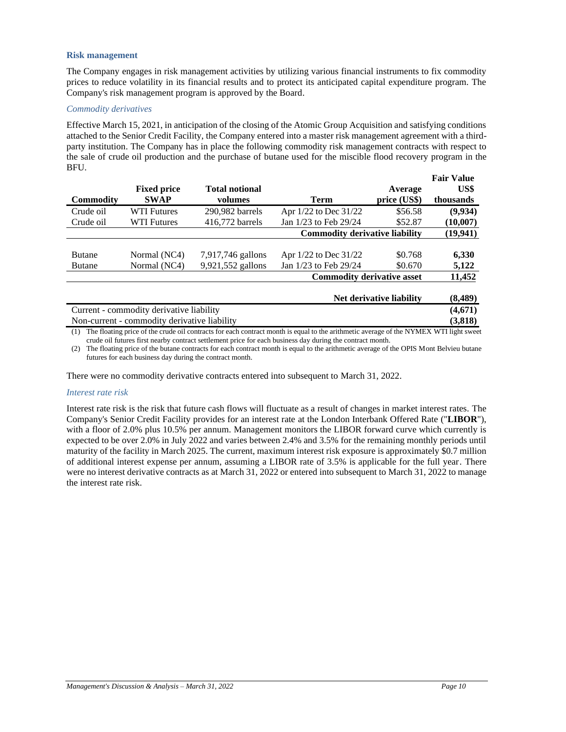### **Risk management**

The Company engages in risk management activities by utilizing various financial instruments to fix commodity prices to reduce volatility in its financial results and to protect its anticipated capital expenditure program. The Company's risk management program is approved by the Board.

## *Commodity derivatives*

Effective March 15, 2021, in anticipation of the closing of the Atomic Group Acquisition and satisfying conditions attached to the Senior Credit Facility, the Company entered into a master risk management agreement with a thirdparty institution. The Company has in place the following commodity risk management contracts with respect to the sale of crude oil production and the purchase of butane used for the miscible flood recovery program in the BFU.

|                  |                                   |                       |                                       |                          | тан таше  |
|------------------|-----------------------------------|-----------------------|---------------------------------------|--------------------------|-----------|
|                  | <b>Fixed price</b>                | <b>Total notional</b> |                                       | Average                  | US\$      |
| <b>Commodity</b> | <b>SWAP</b>                       | volumes               | Term                                  | price (US\$)             | thousands |
| Crude oil        | <b>WTI Futures</b>                | 290.982 barrels       | Apr 1/22 to Dec 31/22                 | \$56.58                  | (9,934)   |
| Crude oil        | <b>WTI Futures</b>                | 416,772 barrels       | Jan 1/23 to Feb 29/24                 | \$52.87                  | (10,007)  |
|                  |                                   |                       | <b>Commodity derivative liability</b> |                          | (19,941)  |
|                  |                                   |                       |                                       |                          |           |
| <b>Butane</b>    | Normal (NC4)                      | 7,917,746 gallons     | Apr 1/22 to Dec 31/22                 | \$0.768                  | 6,330     |
| <b>Butane</b>    | Normal (NC4)                      | 9,921,552 gallons     | Jan 1/23 to Feb 29/24                 | \$0.670                  | 5,122     |
|                  | <b>Commodity derivative asset</b> |                       |                                       | 11,452                   |           |
|                  |                                   |                       |                                       |                          |           |
|                  |                                   |                       |                                       | Net derivative liability | (8.489)   |

| Current - commodity derivative liability                                                                                                  | (4,671) |
|-------------------------------------------------------------------------------------------------------------------------------------------|---------|
| Non-current - commodity derivative liability                                                                                              | (3,818) |
| (1) The floating price of the crude oil contracts for each contract month is equal to the arithmetic average of the NYMEX WTI light sweet |         |

(1) The floating price of the crude oil contracts for each contract month is equal to the arithmetic average of the NYMEX WTI light sweet crude oil futures first nearby contract settlement price for each business day during the contract month.

(2) The floating price of the butane contracts for each contract month is equal to the arithmetic average of the OPIS Mont Belvieu butane futures for each business day during the contract month.

There were no commodity derivative contracts entered into subsequent to March 31, 2022.

### *Interest rate risk*

Interest rate risk is the risk that future cash flows will fluctuate as a result of changes in market interest rates. The Company's Senior Credit Facility provides for an interest rate at the London Interbank Offered Rate ("**LIBOR**"), with a floor of 2.0% plus 10.5% per annum. Management monitors the LIBOR forward curve which currently is expected to be over 2.0% in July 2022 and varies between 2.4% and 3.5% for the remaining monthly periods until maturity of the facility in March 2025. The current, maximum interest risk exposure is approximately \$0.7 million of additional interest expense per annum, assuming a LIBOR rate of 3.5% is applicable for the full year. There were no interest derivative contracts as at March 31, 2022 or entered into subsequent to March 31, 2022 to manage the interest rate risk.

**Fair Value**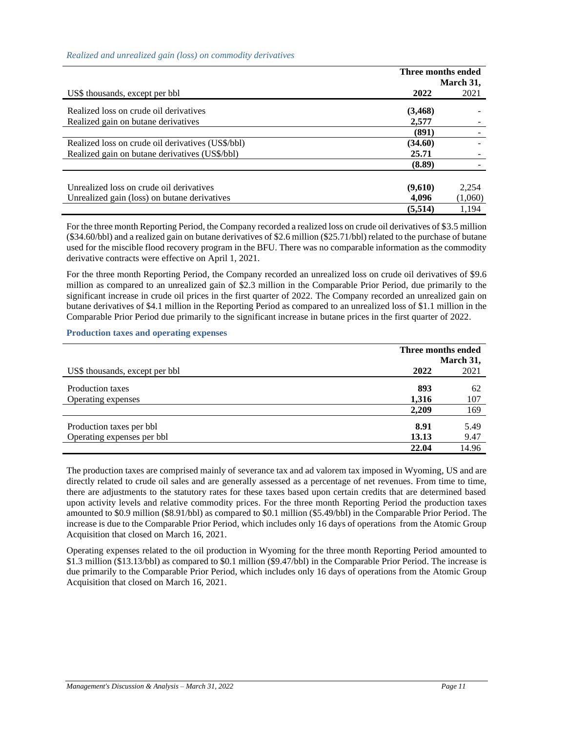## *Realized and unrealized gain (loss) on commodity derivatives*

|                                                   |          | Three months ended<br>March 31, |  |
|---------------------------------------------------|----------|---------------------------------|--|
| US\$ thousands, except per bbl                    | 2022     | 2021                            |  |
| Realized loss on crude oil derivatives            | (3, 468) |                                 |  |
| Realized gain on butane derivatives               | 2.577    |                                 |  |
|                                                   | (891)    |                                 |  |
| Realized loss on crude oil derivatives (US\$/bbl) | (34.60)  |                                 |  |
| Realized gain on butane derivatives (US\$/bbl)    | 25.71    |                                 |  |
|                                                   | (8.89)   |                                 |  |
| Unrealized loss on crude oil derivatives          | (9,610)  | 2,254                           |  |
| Unrealized gain (loss) on butane derivatives      | 4.096    | (1,060)                         |  |
|                                                   | (5,514)  | 1.194                           |  |

For the three month Reporting Period, the Company recorded a realized loss on crude oil derivatives of \$3.5 million (\$34.60/bbl) and a realized gain on butane derivatives of \$2.6 million (\$25.71/bbl) related to the purchase of butane used for the miscible flood recovery program in the BFU. There was no comparable information as the commodity derivative contracts were effective on April 1, 2021.

For the three month Reporting Period, the Company recorded an unrealized loss on crude oil derivatives of \$9.6 million as compared to an unrealized gain of \$2.3 million in the Comparable Prior Period, due primarily to the significant increase in crude oil prices in the first quarter of 2022. The Company recorded an unrealized gain on butane derivatives of \$4.1 million in the Reporting Period as compared to an unrealized loss of \$1.1 million in the Comparable Prior Period due primarily to the significant increase in butane prices in the first quarter of 2022.

# **Production taxes and operating expenses**

|                                | Three months ended |           |
|--------------------------------|--------------------|-----------|
|                                |                    | March 31, |
| US\$ thousands, except per bbl | 2022               | 2021      |
| Production taxes               | 893                | 62        |
| Operating expenses             | 1,316              | 107       |
|                                | 2,209              | 169       |
| Production taxes per bbl       | 8.91               | 5.49      |
| Operating expenses per bbl     | 13.13              | 9.47      |
|                                | 22.04              | 14.96     |

The production taxes are comprised mainly of severance tax and ad valorem tax imposed in Wyoming, US and are directly related to crude oil sales and are generally assessed as a percentage of net revenues. From time to time, there are adjustments to the statutory rates for these taxes based upon certain credits that are determined based upon activity levels and relative commodity prices. For the three month Reporting Period the production taxes amounted to \$0.9 million (\$8.91/bbl) as compared to \$0.1 million (\$5.49/bbl) in the Comparable Prior Period. The increase is due to the Comparable Prior Period, which includes only 16 days of operations from the Atomic Group Acquisition that closed on March 16, 2021.

Operating expenses related to the oil production in Wyoming for the three month Reporting Period amounted to \$1.3 million (\$13.13/bbl) as compared to \$0.1 million (\$9.47/bbl) in the Comparable Prior Period. The increase is due primarily to the Comparable Prior Period, which includes only 16 days of operations from the Atomic Group Acquisition that closed on March 16, 2021.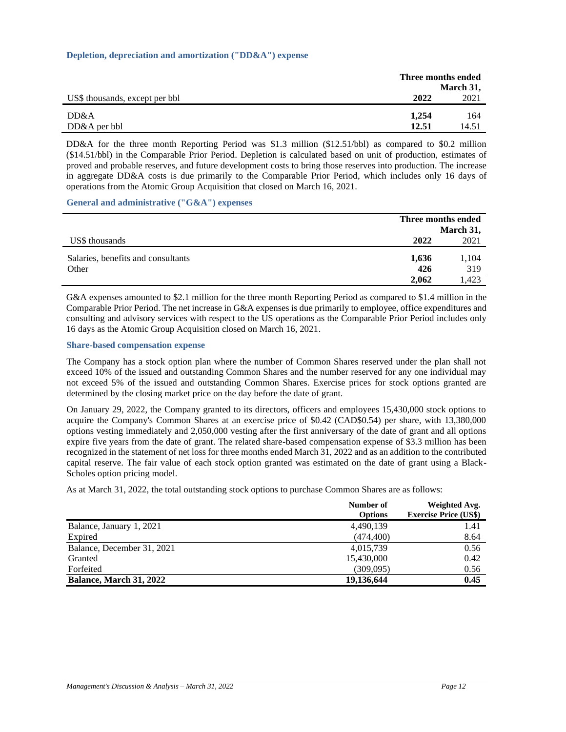### **Depletion, depreciation and amortization ("DD&A") expense**

|                                |       | Three months ended<br>March 31, |
|--------------------------------|-------|---------------------------------|
| US\$ thousands, except per bbl | 2022  | 2021                            |
| DD&A                           | 1.254 | 164                             |
| $DD&A$ per bbl                 | 12.51 | 14.51                           |

DD&A for the three month Reporting Period was \$1.3 million (\$12.51/bbl) as compared to \$0.2 million (\$14.51/bbl) in the Comparable Prior Period. Depletion is calculated based on unit of production, estimates of proved and probable reserves, and future development costs to bring those reserves into production. The increase in aggregate DD&A costs is due primarily to the Comparable Prior Period, which includes only 16 days of operations from the Atomic Group Acquisition that closed on March 16, 2021.

**General and administrative ("G&A") expenses**

|                                    | Three months ended |           |
|------------------------------------|--------------------|-----------|
|                                    |                    | March 31, |
| US\$ thousands                     | 2022               | 2021      |
| Salaries, benefits and consultants | 1,636              | 1,104     |
| Other                              | 426                | 319       |
|                                    | 2.062              | .423      |

G&A expenses amounted to \$2.1 million for the three month Reporting Period as compared to \$1.4 million in the Comparable Prior Period. The net increase in G&A expenses is due primarily to employee, office expenditures and consulting and advisory services with respect to the US operations as the Comparable Prior Period includes only 16 days as the Atomic Group Acquisition closed on March 16, 2021.

### **Share-based compensation expense**

The Company has a stock option plan where the number of Common Shares reserved under the plan shall not exceed 10% of the issued and outstanding Common Shares and the number reserved for any one individual may not exceed 5% of the issued and outstanding Common Shares. Exercise prices for stock options granted are determined by the closing market price on the day before the date of grant.

On January 29, 2022, the Company granted to its directors, officers and employees 15,430,000 stock options to acquire the Company's Common Shares at an exercise price of \$0.42 (CAD\$0.54) per share, with 13,380,000 options vesting immediately and 2,050,000 vesting after the first anniversary of the date of grant and all options expire five years from the date of grant. The related share-based compensation expense of \$3.3 million has been recognized in the statement of net loss for three months ended March 31, 2022 and as an addition to the contributed capital reserve. The fair value of each stock option granted was estimated on the date of grant using a Black-Scholes option pricing model.

As at March 31, 2022, the total outstanding stock options to purchase Common Shares are as follows:

|                            | Number of<br><b>Options</b> | Weighted Avg.<br><b>Exercise Price (US\$)</b> |
|----------------------------|-----------------------------|-----------------------------------------------|
| Balance, January 1, 2021   | 4,490,139                   | 1.41                                          |
| Expired                    | (474, 400)                  | 8.64                                          |
| Balance, December 31, 2021 | 4,015,739                   | 0.56                                          |
| Granted                    | 15,430,000                  | 0.42                                          |
| Forfeited                  | (309,095)                   | 0.56                                          |
| Balance, March 31, 2022    | 19,136,644                  | 0.45                                          |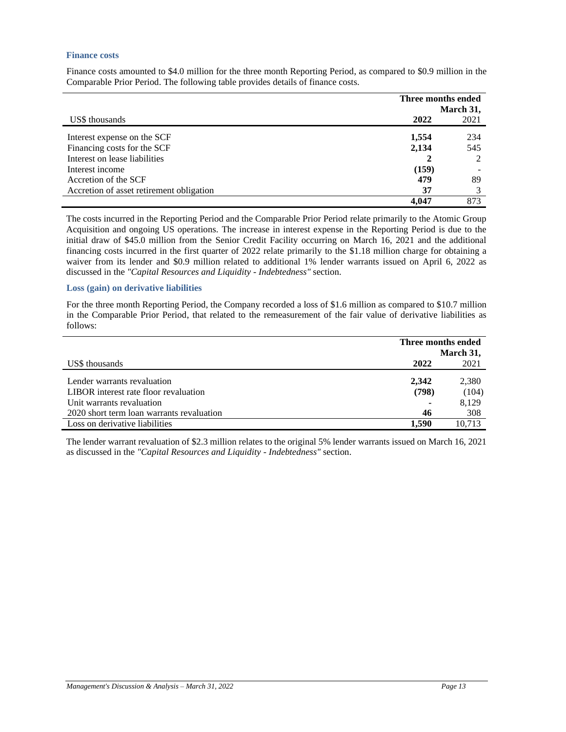#### **Finance costs**

Finance costs amounted to \$4.0 million for the three month Reporting Period, as compared to \$0.9 million in the Comparable Prior Period. The following table provides details of finance costs.

|                                          | Three months ended |      |  |
|------------------------------------------|--------------------|------|--|
|                                          | March 31,          |      |  |
| US\$ thousands                           | 2022               | 2021 |  |
| Interest expense on the SCF              | 1,554              | 234  |  |
| Financing costs for the SCF              | 2,134              | 545  |  |
| Interest on lease liabilities            |                    |      |  |
| Interest income                          | (159)              |      |  |
| Accretion of the SCF                     | 479                | 89   |  |
| Accretion of asset retirement obligation | 37                 |      |  |
|                                          | 4.047              | 873  |  |

The costs incurred in the Reporting Period and the Comparable Prior Period relate primarily to the Atomic Group Acquisition and ongoing US operations. The increase in interest expense in the Reporting Period is due to the initial draw of \$45.0 million from the Senior Credit Facility occurring on March 16, 2021 and the additional financing costs incurred in the first quarter of 2022 relate primarily to the \$1.18 million charge for obtaining a waiver from its lender and \$0.9 million related to additional 1% lender warrants issued on April 6, 2022 as discussed in the *"Capital Resources and Liquidity - Indebtedness"* section.

#### **Loss (gain) on derivative liabilities**

For the three month Reporting Period, the Company recorded a loss of \$1.6 million as compared to \$10.7 million in the Comparable Prior Period, that related to the remeasurement of the fair value of derivative liabilities as follows:

|                                           | Three months ended |        |  |
|-------------------------------------------|--------------------|--------|--|
|                                           | March 31,          |        |  |
| US\$ thousands                            | 2022               | 2021   |  |
| Lender warrants revaluation               | 2.342              | 2,380  |  |
| LIBOR interest rate floor revaluation     | (798)              | (104)  |  |
| Unit warrants revaluation                 |                    | 8.129  |  |
| 2020 short term loan warrants revaluation | 46                 | 308    |  |
| Loss on derivative liabilities            | 1.590              | 10.713 |  |

The lender warrant revaluation of \$2.3 million relates to the original 5% lender warrants issued on March 16, 2021 as discussed in the *"Capital Resources and Liquidity - Indebtedness"* section.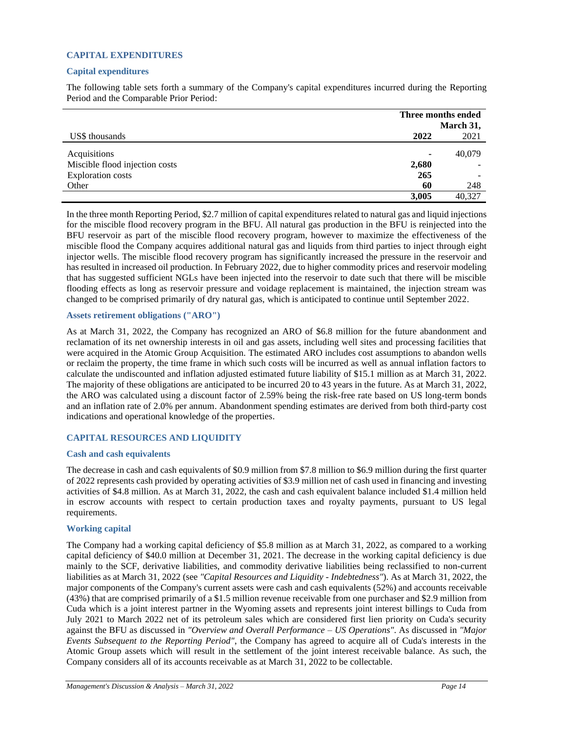# **CAPITAL EXPENDITURES**

# **Capital expenditures**

The following table sets forth a summary of the Company's capital expenditures incurred during the Reporting Period and the Comparable Prior Period:

|                                | Three months ended<br>March 31, |        |  |
|--------------------------------|---------------------------------|--------|--|
|                                |                                 |        |  |
| US\$ thousands                 | 2022                            | 2021   |  |
| Acquisitions                   | $\blacksquare$                  | 40,079 |  |
| Miscible flood injection costs | 2,680                           |        |  |
| <b>Exploration costs</b>       | 265                             |        |  |
| Other                          | 60                              | 248    |  |
|                                | 3,005                           | 40.327 |  |

In the three month Reporting Period, \$2.7 million of capital expenditures related to natural gas and liquid injections for the miscible flood recovery program in the BFU. All natural gas production in the BFU is reinjected into the BFU reservoir as part of the miscible flood recovery program, however to maximize the effectiveness of the miscible flood the Company acquires additional natural gas and liquids from third parties to inject through eight injector wells. The miscible flood recovery program has significantly increased the pressure in the reservoir and has resulted in increased oil production. In February 2022, due to higher commodity prices and reservoir modeling that has suggested sufficient NGLs have been injected into the reservoir to date such that there will be miscible flooding effects as long as reservoir pressure and voidage replacement is maintained, the injection stream was changed to be comprised primarily of dry natural gas, which is anticipated to continue until September 2022.

# **Assets retirement obligations ("ARO")**

As at March 31, 2022, the Company has recognized an ARO of \$6.8 million for the future abandonment and reclamation of its net ownership interests in oil and gas assets, including well sites and processing facilities that were acquired in the Atomic Group Acquisition. The estimated ARO includes cost assumptions to abandon wells or reclaim the property, the time frame in which such costs will be incurred as well as annual inflation factors to calculate the undiscounted and inflation adjusted estimated future liability of \$15.1 million as at March 31, 2022. The majority of these obligations are anticipated to be incurred 20 to 43 years in the future. As at March 31, 2022, the ARO was calculated using a discount factor of 2.59% being the risk-free rate based on US long-term bonds and an inflation rate of 2.0% per annum. Abandonment spending estimates are derived from both third-party cost indications and operational knowledge of the properties.

# **CAPITAL RESOURCES AND LIQUIDITY**

### **Cash and cash equivalents**

The decrease in cash and cash equivalents of \$0.9 million from \$7.8 million to \$6.9 million during the first quarter of 2022 represents cash provided by operating activities of \$3.9 million net of cash used in financing and investing activities of \$4.8 million. As at March 31, 2022, the cash and cash equivalent balance included \$1.4 million held in escrow accounts with respect to certain production taxes and royalty payments, pursuant to US legal requirements.

### **Working capital**

The Company had a working capital deficiency of \$5.8 million as at March 31, 2022, as compared to a working capital deficiency of \$40.0 million at December 31, 2021. The decrease in the working capital deficiency is due mainly to the SCF, derivative liabilities, and commodity derivative liabilities being reclassified to non-current liabilities as at March 31, 2022 (see *"Capital Resources and Liquidity - Indebtedness"*). As at March 31, 2022, the major components of the Company's current assets were cash and cash equivalents (52%) and accounts receivable (43%) that are comprised primarily of a \$1.5 million revenue receivable from one purchaser and \$2.9 million from Cuda which is a joint interest partner in the Wyoming assets and represents joint interest billings to Cuda from July 2021 to March 2022 net of its petroleum sales which are considered first lien priority on Cuda's security against the BFU as discussed in *"Overview and Overall Performance – US Operations"*. As discussed in *"Major Events Subsequent to the Reporting Period"*, the Company has agreed to acquire all of Cuda's interests in the Atomic Group assets which will result in the settlement of the joint interest receivable balance. As such, the Company considers all of its accounts receivable as at March 31, 2022 to be collectable.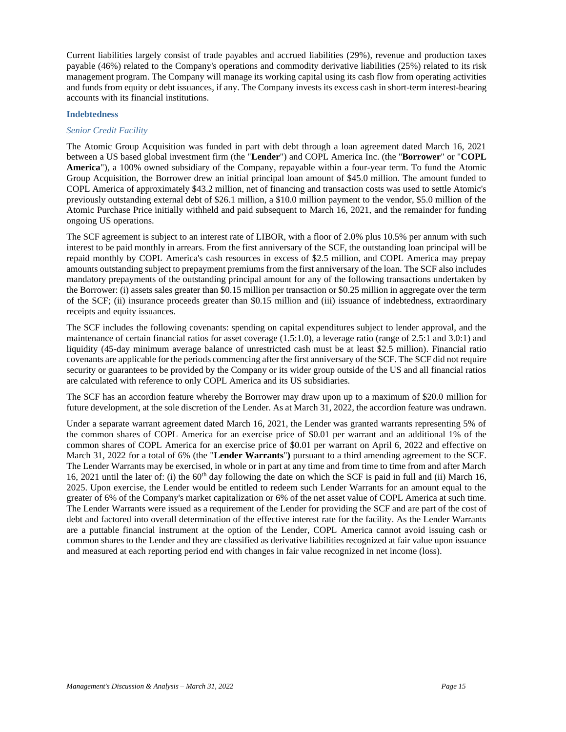Current liabilities largely consist of trade payables and accrued liabilities (29%), revenue and production taxes payable (46%) related to the Company's operations and commodity derivative liabilities (25%) related to its risk management program. The Company will manage its working capital using its cash flow from operating activities and funds from equity or debt issuances, if any. The Company invests its excess cash in short-term interest-bearing accounts with its financial institutions.

### **Indebtedness**

# *Senior Credit Facility*

The Atomic Group Acquisition was funded in part with debt through a loan agreement dated March 16, 2021 between a US based global investment firm (the "**Lender**") and COPL America Inc. (the "**Borrower**" or "**COPL America**"), a 100% owned subsidiary of the Company, repayable within a four-year term. To fund the Atomic Group Acquisition, the Borrower drew an initial principal loan amount of \$45.0 million. The amount funded to COPL America of approximately \$43.2 million, net of financing and transaction costs was used to settle Atomic's previously outstanding external debt of \$26.1 million, a \$10.0 million payment to the vendor, \$5.0 million of the Atomic Purchase Price initially withheld and paid subsequent to March 16, 2021, and the remainder for funding ongoing US operations.

The SCF agreement is subject to an interest rate of LIBOR, with a floor of 2.0% plus 10.5% per annum with such interest to be paid monthly in arrears. From the first anniversary of the SCF, the outstanding loan principal will be repaid monthly by COPL America's cash resources in excess of \$2.5 million, and COPL America may prepay amounts outstanding subject to prepayment premiums from the first anniversary of the loan. The SCF also includes mandatory prepayments of the outstanding principal amount for any of the following transactions undertaken by the Borrower: (i) assets sales greater than \$0.15 million per transaction or \$0.25 million in aggregate over the term of the SCF; (ii) insurance proceeds greater than \$0.15 million and (iii) issuance of indebtedness, extraordinary receipts and equity issuances.

The SCF includes the following covenants: spending on capital expenditures subject to lender approval, and the maintenance of certain financial ratios for asset coverage (1.5:1.0), a leverage ratio (range of 2.5:1 and 3.0:1) and liquidity (45-day minimum average balance of unrestricted cash must be at least \$2.5 million). Financial ratio covenants are applicable for the periods commencing after the first anniversary of the SCF. The SCF did not require security or guarantees to be provided by the Company or its wider group outside of the US and all financial ratios are calculated with reference to only COPL America and its US subsidiaries.

The SCF has an accordion feature whereby the Borrower may draw upon up to a maximum of \$20.0 million for future development, at the sole discretion of the Lender. As at March 31, 2022, the accordion feature was undrawn.

Under a separate warrant agreement dated March 16, 2021, the Lender was granted warrants representing 5% of the common shares of COPL America for an exercise price of \$0.01 per warrant and an additional 1% of the common shares of COPL America for an exercise price of \$0.01 per warrant on April 6, 2022 and effective on March 31, 2022 for a total of 6% (the "**Lender Warrants**"**)** pursuant to a third amending agreement to the SCF. The Lender Warrants may be exercised, in whole or in part at any time and from time to time from and after March 16, 2021 until the later of: (i) the  $60<sup>th</sup>$  day following the date on which the SCF is paid in full and (ii) March 16, 2025. Upon exercise, the Lender would be entitled to redeem such Lender Warrants for an amount equal to the greater of 6% of the Company's market capitalization or 6% of the net asset value of COPL America at such time. The Lender Warrants were issued as a requirement of the Lender for providing the SCF and are part of the cost of debt and factored into overall determination of the effective interest rate for the facility. As the Lender Warrants are a puttable financial instrument at the option of the Lender, COPL America cannot avoid issuing cash or common shares to the Lender and they are classified as derivative liabilities recognized at fair value upon issuance and measured at each reporting period end with changes in fair value recognized in net income (loss).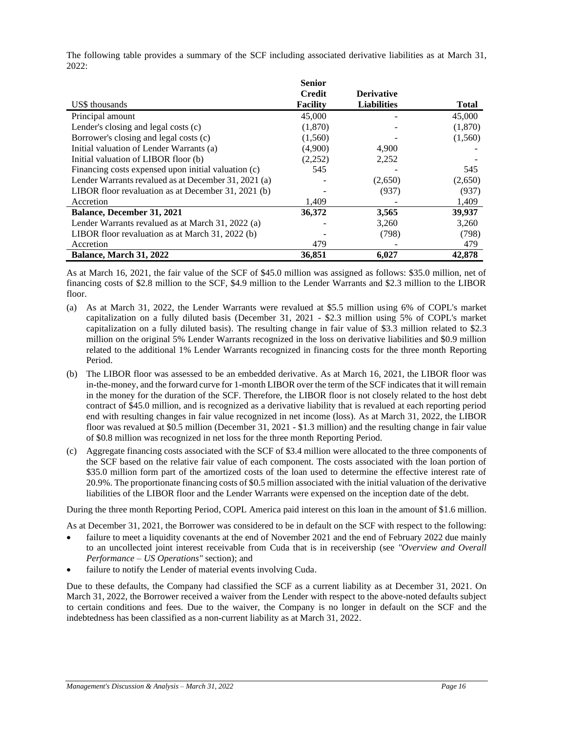|                                                      | <b>Senior</b>   |                    |              |
|------------------------------------------------------|-----------------|--------------------|--------------|
|                                                      | <b>Credit</b>   | <b>Derivative</b>  |              |
| US\$ thousands                                       | <b>Facility</b> | <b>Liabilities</b> | <b>Total</b> |
| Principal amount                                     | 45,000          |                    | 45,000       |
| Lender's closing and legal costs (c)                 | (1,870)         |                    | (1,870)      |
| Borrower's closing and legal costs (c)               | (1,560)         |                    | (1,560)      |
| Initial valuation of Lender Warrants (a)             | (4,900)         | 4,900              |              |
| Initial valuation of LIBOR floor (b)                 | (2,252)         | 2,252              |              |
| Financing costs expensed upon initial valuation (c)  | 545             |                    | 545          |
| Lender Warrants revalued as at December 31, 2021 (a) |                 | (2,650)            | (2,650)      |
| LIBOR floor revaluation as at December 31, 2021 (b)  |                 | (937)              | (937)        |
| Accretion                                            | 1,409           |                    | 1,409        |
| <b>Balance, December 31, 2021</b>                    | 36,372          | 3,565              | 39,937       |
| Lender Warrants revalued as at March 31, 2022 (a)    |                 | 3,260              | 3,260        |
| LIBOR floor revaluation as at March 31, 2022 (b)     |                 | (798)              | (798)        |
| Accretion                                            | 479             |                    | 479          |
| Balance, March 31, 2022                              | 36,851          | 6,027              | 42,878       |

The following table provides a summary of the SCF including associated derivative liabilities as at March 31, 2022:

As at March 16, 2021, the fair value of the SCF of \$45.0 million was assigned as follows: \$35.0 million, net of financing costs of \$2.8 million to the SCF, \$4.9 million to the Lender Warrants and \$2.3 million to the LIBOR floor.

- (a) As at March 31, 2022, the Lender Warrants were revalued at \$5.5 million using 6% of COPL's market capitalization on a fully diluted basis (December 31, 2021 - \$2.3 million using 5% of COPL's market capitalization on a fully diluted basis). The resulting change in fair value of \$3.3 million related to \$2.3 million on the original 5% Lender Warrants recognized in the loss on derivative liabilities and \$0.9 million related to the additional 1% Lender Warrants recognized in financing costs for the three month Reporting Period.
- (b) The LIBOR floor was assessed to be an embedded derivative. As at March 16, 2021, the LIBOR floor was in-the-money, and the forward curve for 1-month LIBOR over the term of the SCF indicates that it will remain in the money for the duration of the SCF. Therefore, the LIBOR floor is not closely related to the host debt contract of \$45.0 million, and is recognized as a derivative liability that is revalued at each reporting period end with resulting changes in fair value recognized in net income (loss). As at March 31, 2022, the LIBOR floor was revalued at \$0.5 million (December 31, 2021 - \$1.3 million) and the resulting change in fair value of \$0.8 million was recognized in net loss for the three month Reporting Period.
- (c) Aggregate financing costs associated with the SCF of \$3.4 million were allocated to the three components of the SCF based on the relative fair value of each component. The costs associated with the loan portion of \$35.0 million form part of the amortized costs of the loan used to determine the effective interest rate of 20.9%. The proportionate financing costs of \$0.5 million associated with the initial valuation of the derivative liabilities of the LIBOR floor and the Lender Warrants were expensed on the inception date of the debt.

During the three month Reporting Period, COPL America paid interest on this loan in the amount of \$1.6 million.

As at December 31, 2021, the Borrower was considered to be in default on the SCF with respect to the following:

- failure to meet a liquidity covenants at the end of November 2021 and the end of February 2022 due mainly to an uncollected joint interest receivable from Cuda that is in receivership (see *"Overview and Overall Performance – US Operations"* section); and
- failure to notify the Lender of material events involving Cuda.

Due to these defaults, the Company had classified the SCF as a current liability as at December 31, 2021. On March 31, 2022, the Borrower received a waiver from the Lender with respect to the above-noted defaults subject to certain conditions and fees. Due to the waiver, the Company is no longer in default on the SCF and the indebtedness has been classified as a non-current liability as at March 31, 2022.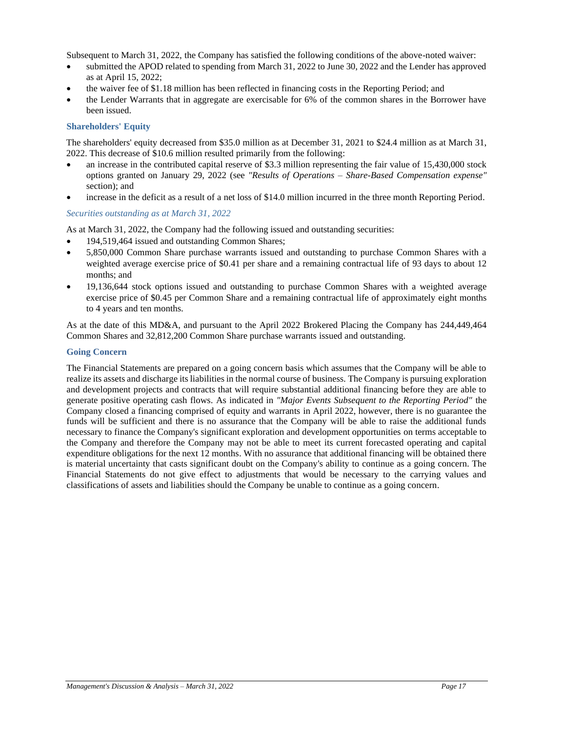Subsequent to March 31, 2022, the Company has satisfied the following conditions of the above-noted waiver:

- submitted the APOD related to spending from March 31, 2022 to June 30, 2022 and the Lender has approved as at April 15, 2022;
- the waiver fee of \$1.18 million has been reflected in financing costs in the Reporting Period; and
- the Lender Warrants that in aggregate are exercisable for 6% of the common shares in the Borrower have been issued.

# **Shareholders' Equity**

The shareholders' equity decreased from \$35.0 million as at December 31, 2021 to \$24.4 million as at March 31, 2022. This decrease of \$10.6 million resulted primarily from the following:

- an increase in the contributed capital reserve of \$3.3 million representing the fair value of 15,430,000 stock options granted on January 29, 2022 (see *"Results of Operations – Share-Based Compensation expense"* section); and
- increase in the deficit as a result of a net loss of \$14.0 million incurred in the three month Reporting Period.

### *Securities outstanding as at March 31, 2022*

As at March 31, 2022, the Company had the following issued and outstanding securities:

- 194,519,464 issued and outstanding Common Shares;
- 5,850,000 Common Share purchase warrants issued and outstanding to purchase Common Shares with a weighted average exercise price of \$0.41 per share and a remaining contractual life of 93 days to about 12 months; and
- 19,136,644 stock options issued and outstanding to purchase Common Shares with a weighted average exercise price of \$0.45 per Common Share and a remaining contractual life of approximately eight months to 4 years and ten months.

As at the date of this MD&A, and pursuant to the April 2022 Brokered Placing the Company has 244,449,464 Common Shares and 32,812,200 Common Share purchase warrants issued and outstanding.

# **Going Concern**

The Financial Statements are prepared on a going concern basis which assumes that the Company will be able to realize its assets and discharge its liabilities in the normal course of business. The Company is pursuing exploration and development projects and contracts that will require substantial additional financing before they are able to generate positive operating cash flows. As indicated in *"Major Events Subsequent to the Reporting Period"* the Company closed a financing comprised of equity and warrants in April 2022, however, there is no guarantee the funds will be sufficient and there is no assurance that the Company will be able to raise the additional funds necessary to finance the Company's significant exploration and development opportunities on terms acceptable to the Company and therefore the Company may not be able to meet its current forecasted operating and capital expenditure obligations for the next 12 months. With no assurance that additional financing will be obtained there is material uncertainty that casts significant doubt on the Company's ability to continue as a going concern. The Financial Statements do not give effect to adjustments that would be necessary to the carrying values and classifications of assets and liabilities should the Company be unable to continue as a going concern.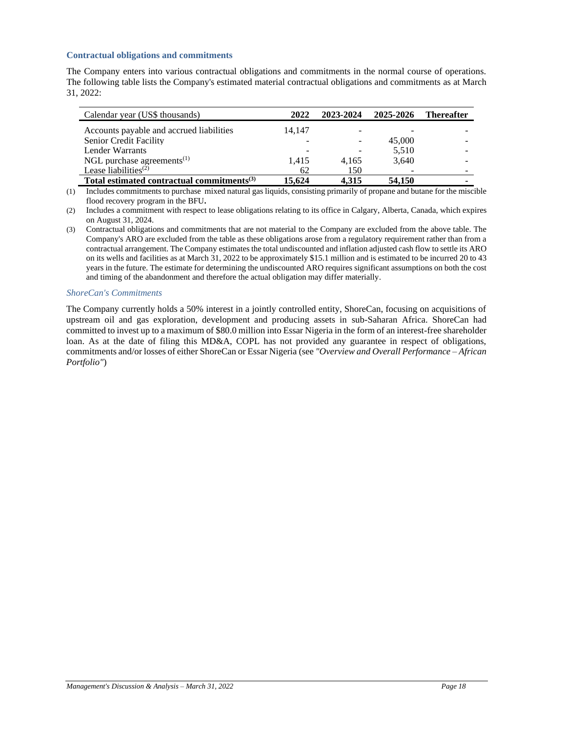### **Contractual obligations and commitments**

The Company enters into various contractual obligations and commitments in the normal course of operations. The following table lists the Company's estimated material contractual obligations and commitments as at March 31, 2022:

| Calendar year (US\$ thousands)                         | 2022   | 2023-2024 | 2025-2026 | <b>Thereafter</b> |
|--------------------------------------------------------|--------|-----------|-----------|-------------------|
| Accounts payable and accrued liabilities               | 14.147 |           |           |                   |
| Senior Credit Facility                                 |        |           | 45,000    |                   |
| Lender Warrants                                        |        |           | 5,510     |                   |
| NGL purchase agreements <sup>(1)</sup>                 | 1.415  | 4.165     | 3,640     |                   |
| Lease liabilities $(2)$                                | 62     | 150       |           |                   |
| Total estimated contractual commitments <sup>(3)</sup> | 15.624 | 4.315     | 54,150    |                   |

(1) Includes commitments to purchase mixed natural gas liquids, consisting primarily of propane and butane for the miscible flood recovery program in the BFU**.**

- (2) Includes a commitment with respect to lease obligations relating to its office in Calgary, Alberta, Canada, which expires on August 31, 2024.
- (3) Contractual obligations and commitments that are not material to the Company are excluded from the above table. The Company's ARO are excluded from the table as these obligations arose from a regulatory requirement rather than from a contractual arrangement. The Company estimates the total undiscounted and inflation adjusted cash flow to settle its ARO on its wells and facilities as at March 31, 2022 to be approximately \$15.1 million and is estimated to be incurred 20 to 43 years in the future. The estimate for determining the undiscounted ARO requires significant assumptions on both the cost and timing of the abandonment and therefore the actual obligation may differ materially.

#### *ShoreCan's Commitments*

The Company currently holds a 50% interest in a jointly controlled entity, ShoreCan, focusing on acquisitions of upstream oil and gas exploration, development and producing assets in sub-Saharan Africa. ShoreCan had committed to invest up to a maximum of \$80.0 million into Essar Nigeria in the form of an interest-free shareholder loan. As at the date of filing this MD&A, COPL has not provided any guarantee in respect of obligations, commitments and/or losses of either ShoreCan or Essar Nigeria (see *"Overview and Overall Performance – African Portfolio"*)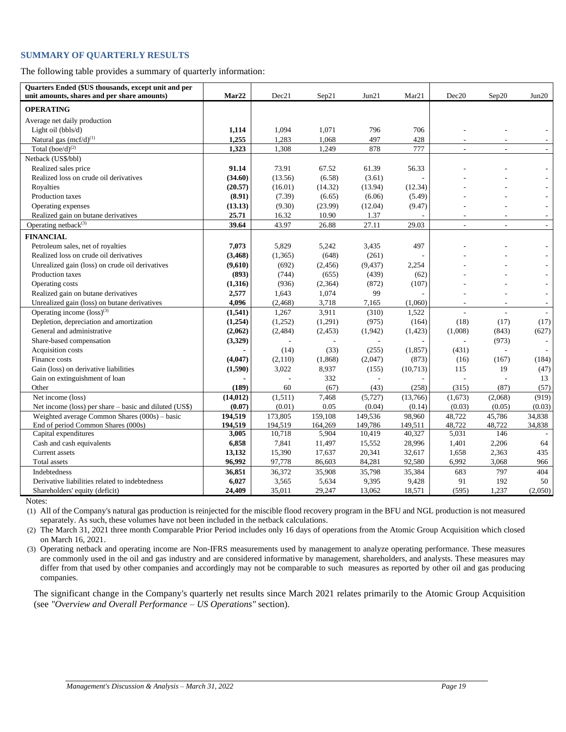# **SUMMARY OF QUARTERLY RESULTS**

The following table provides a summary of quarterly information:

| Quarters Ended (\$US thousands, except unit and per<br>unit amounts, shares and per share amounts) | Mar22     | Dec21    | Sep21    | Jun21    | Mar <sub>21</sub> | Dec20   | Sep20                    | Jun20          |
|----------------------------------------------------------------------------------------------------|-----------|----------|----------|----------|-------------------|---------|--------------------------|----------------|
| <b>OPERATING</b>                                                                                   |           |          |          |          |                   |         |                          |                |
| Average net daily production                                                                       |           |          |          |          |                   |         |                          |                |
| Light oil (bbls/d)                                                                                 | 1,114     | 1,094    | 1,071    | 796      | 706               |         |                          |                |
| Natural gas $(mcf/d)^{(1)}$                                                                        | 1,255     | 1,283    | 1,068    | 497      | 428               |         |                          |                |
| Total $(boe/d)^{(2)}$                                                                              | 1,323     | 1,308    | 1,249    | 878      | 777               |         |                          |                |
| Netback (US\$/bbl)                                                                                 |           |          |          |          |                   |         |                          |                |
| Realized sales price                                                                               | 91.14     | 73.91    | 67.52    | 61.39    | 56.33             |         |                          |                |
| Realized loss on crude oil derivatives                                                             | (34.60)   | (13.56)  | (6.58)   | (3.61)   |                   |         |                          |                |
| Royalties                                                                                          | (20.57)   | (16.01)  | (14.32)  | (13.94)  | (12.34)           |         |                          |                |
| Production taxes                                                                                   | (8.91)    | (7.39)   | (6.65)   | (6.06)   | (5.49)            |         |                          |                |
| Operating expenses                                                                                 | (13.13)   | (9.30)   | (23.99)  | (12.04)  | (9.47)            |         |                          |                |
| Realized gain on butane derivatives                                                                | 25.71     | 16.32    | 10.90    | 1.37     |                   | ٠       |                          |                |
| Operating netback <sup>(3)</sup>                                                                   | 39.64     | 43.97    | 26.88    | 27.11    | 29.03             | L.      | ÷                        | ÷.             |
| <b>FINANCIAL</b>                                                                                   |           |          |          |          |                   |         |                          |                |
| Petroleum sales, net of royalties                                                                  | 7,073     | 5,829    | 5,242    | 3,435    | 497               |         |                          |                |
| Realized loss on crude oil derivatives                                                             | (3, 468)  | (1,365)  | (648)    | (261)    |                   |         |                          |                |
| Unrealized gain (loss) on crude oil derivatives                                                    | (9,610)   | (692)    | (2, 456) | (9, 437) | 2,254             |         |                          |                |
| Production taxes                                                                                   | (893)     | (744)    | (655)    | (439)    | (62)              |         |                          |                |
| Operating costs                                                                                    | (1,316)   | (936)    | (2,364)  | (872)    | (107)             |         |                          |                |
| Realized gain on butane derivatives                                                                | 2,577     | 1,643    | 1,074    | 99       |                   |         |                          |                |
| Unrealized gain (loss) on butane derivatives                                                       | 4,096     | (2, 468) | 3,718    | 7,165    | (1,060)           | ÷,      | $\overline{\phantom{a}}$ | $\overline{a}$ |
| Operating income $(\text{loss})^{(3)}$                                                             | (1, 541)  | 1,267    | 3,911    | (310)    | 1,522             | L.      |                          |                |
| Depletion, depreciation and amortization                                                           | (1,254)   | (1,252)  | (1,291)  | (975)    | (164)             | (18)    | (17)                     | (17)           |
| General and administrative                                                                         | (2,062)   | (2,484)  | (2, 453) | (1,942)  | (1, 423)          | (1,008) | (843)                    | (627)          |
| Share-based compensation                                                                           | (3,329)   |          |          |          |                   | L.      | (973)                    |                |
| Acquisition costs                                                                                  |           | (14)     | (33)     | (255)    | (1, 857)          | (431)   | ÷                        |                |
| Finance costs                                                                                      | (4,047)   | (2,110)  | (1, 868) | (2,047)  | (873)             | (16)    | (167)                    | (184)          |
| Gain (loss) on derivative liabilities                                                              | (1,590)   | 3,022    | 8,937    | (155)    | (10,713)          | 115     | 19                       | (47)           |
| Gain on extinguishment of loan                                                                     |           |          | 332      |          |                   |         |                          | 13             |
| Other                                                                                              | (189)     | 60       | (67)     | (43)     | (258)             | (315)   | (87)                     | (57)           |
| Net income (loss)                                                                                  | (14, 012) | (1,511)  | 7,468    | (5, 727) | (13,766)          | (1,673) | (2,068)                  | (919)          |
| Net income (loss) per share – basic and diluted (US\$)                                             | (0.07)    | (0.01)   | 0.05     | (0.04)   | (0.14)            | (0.03)  | (0.05)                   | (0.03)         |
| Weighted average Common Shares $(000s)$ – basic                                                    | 194,519   | 173,805  | 159,108  | 149.536  | 98.960            | 48.722  | 45,786                   | 34.838         |
| End of period Common Shares (000s)                                                                 | 194,519   | 194,519  | 164,269  | 149,786  | 149,511           | 48,722  | 48,722                   | 34,838         |
| Capital expenditures                                                                               | 3,005     | 10,718   | 5,904    | 10,419   | 40,327            | 5,031   | 146                      |                |
| Cash and cash equivalents                                                                          | 6,858     | 7,841    | 11,497   | 15,552   | 28,996            | 1,401   | 2,206                    | 64             |
| Current assets                                                                                     | 13,132    | 15,390   | 17,637   | 20,341   | 32,617            | 1,658   | 2,363                    | 435            |
| Total assets                                                                                       | 96,992    | 97,778   | 86,603   | 84,281   | 92,580            | 6,992   | 3,068                    | 966            |
| Indebtedness                                                                                       | 36,851    | 36,372   | 35,908   | 35,798   | 35,384            | 683     | 797                      | 404            |
| Derivative liabilities related to indebtedness                                                     | 6,027     | 3,565    | 5,634    | 9,395    | 9,428             | 91      | 192                      | 50             |
| Shareholders' equity (deficit)                                                                     | 24,409    | 35,011   | 29,247   | 13,062   | 18,571            | (595)   | 1,237                    | (2,050)        |

Notes:

(1) All of the Company's natural gas production is reinjected for the miscible flood recovery program in the BFU and NGL production is not measured separately. As such, these volumes have not been included in the netback calculations.

(2) The March 31, 2021 three month Comparable Prior Period includes only 16 days of operations from the Atomic Group Acquisition which closed on March 16, 2021.

(3) Operating netback and operating income are Non-IFRS measurements used by management to analyze operating performance. These measures are commonly used in the oil and gas industry and are considered informative by management, shareholders, and analysts. These measures may differ from that used by other companies and accordingly may not be comparable to such measures as reported by other oil and gas producing companies.

The significant change in the Company's quarterly net results since March 2021 relates primarily to the Atomic Group Acquisition (see *"Overview and Overall Performance – US Operations"* section).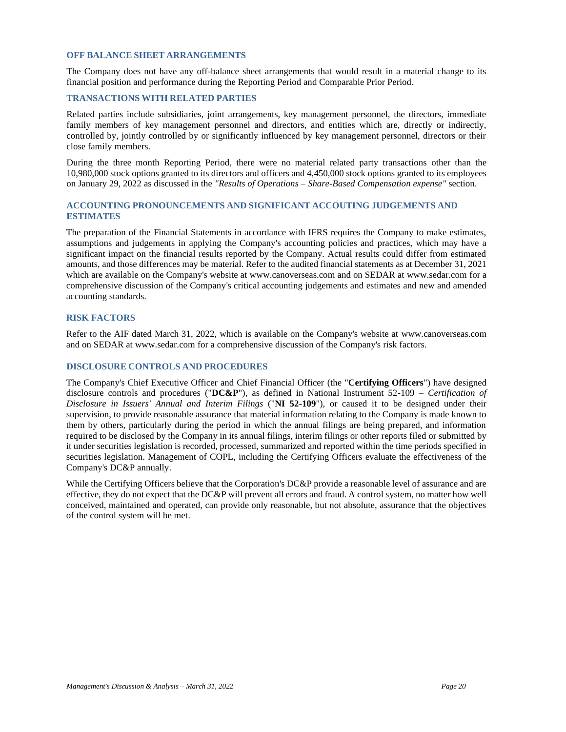# **OFF BALANCE SHEET ARRANGEMENTS**

The Company does not have any off-balance sheet arrangements that would result in a material change to its financial position and performance during the Reporting Period and Comparable Prior Period.

### **TRANSACTIONS WITH RELATED PARTIES**

Related parties include subsidiaries, joint arrangements, key management personnel, the directors, immediate family members of key management personnel and directors, and entities which are, directly or indirectly, controlled by, jointly controlled by or significantly influenced by key management personnel, directors or their close family members.

During the three month Reporting Period, there were no material related party transactions other than the 10,980,000 stock options granted to its directors and officers and 4,450,000 stock options granted to its employees on January 29, 2022 as discussed in the *"Results of Operations – Share-Based Compensation expense"* section.

# **ACCOUNTING PRONOUNCEMENTS AND SIGNIFICANT ACCOUTING JUDGEMENTS AND ESTIMATES**

The preparation of the Financial Statements in accordance with IFRS requires the Company to make estimates, assumptions and judgements in applying the Company's accounting policies and practices, which may have a significant impact on the financial results reported by the Company. Actual results could differ from estimated amounts, and those differences may be material. Refer to the audited financial statements as at December 31, 2021 which are available on the Company's website at [www.canoverseas.com](http://www.canoverseas.com/) and on SEDAR at [www.sedar.com](http://www.sedar.com/) for a comprehensive discussion of the Company's critical accounting judgements and estimates and new and amended accounting standards.

### **RISK FACTORS**

Refer to the AIF dated March 31, 2022, which is available on the Company's website at [www.canoverseas.com](http://www.canoverseas.com/) and on SEDAR at [www.sedar.com](http://www.sedar.com/) for a comprehensive discussion of the Company's risk factors.

## **DISCLOSURE CONTROLS AND PROCEDURES**

The Company's Chief Executive Officer and Chief Financial Officer (the "**Certifying Officers**") have designed disclosure controls and procedures ("**DC&P**"), as defined in National Instrument 52-109 – *Certification of Disclosure in Issuers' Annual and Interim Filings* ("**NI 52-109**"), or caused it to be designed under their supervision, to provide reasonable assurance that material information relating to the Company is made known to them by others, particularly during the period in which the annual filings are being prepared, and information required to be disclosed by the Company in its annual filings, interim filings or other reports filed or submitted by it under securities legislation is recorded, processed, summarized and reported within the time periods specified in securities legislation. Management of COPL, including the Certifying Officers evaluate the effectiveness of the Company's DC&P annually.

While the Certifying Officers believe that the Corporation's DC&P provide a reasonable level of assurance and are effective, they do not expect that the DC&P will prevent all errors and fraud. A control system, no matter how well conceived, maintained and operated, can provide only reasonable, but not absolute, assurance that the objectives of the control system will be met.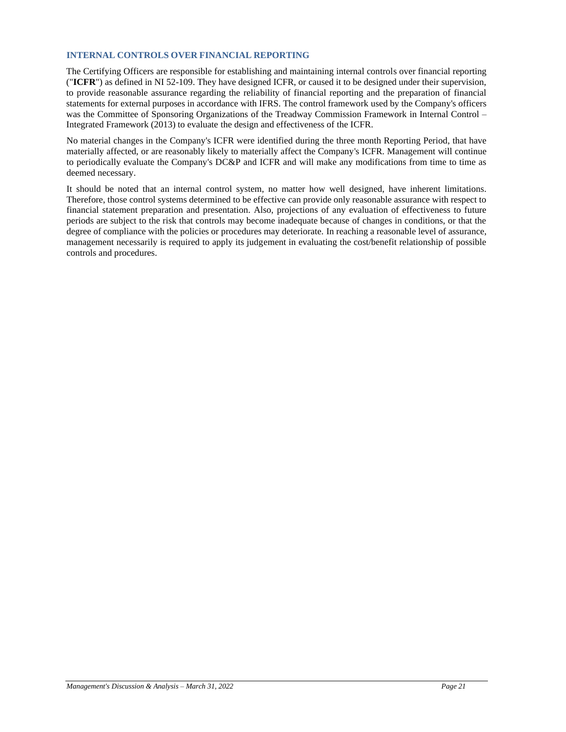# **INTERNAL CONTROLS OVER FINANCIAL REPORTING**

The Certifying Officers are responsible for establishing and maintaining internal controls over financial reporting ("**ICFR**") as defined in NI 52-109. They have designed ICFR, or caused it to be designed under their supervision, to provide reasonable assurance regarding the reliability of financial reporting and the preparation of financial statements for external purposes in accordance with IFRS. The control framework used by the Company's officers was the Committee of Sponsoring Organizations of the Treadway Commission Framework in Internal Control – Integrated Framework (2013) to evaluate the design and effectiveness of the ICFR.

No material changes in the Company's ICFR were identified during the three month Reporting Period, that have materially affected, or are reasonably likely to materially affect the Company's ICFR. Management will continue to periodically evaluate the Company's DC&P and ICFR and will make any modifications from time to time as deemed necessary.

It should be noted that an internal control system, no matter how well designed, have inherent limitations. Therefore, those control systems determined to be effective can provide only reasonable assurance with respect to financial statement preparation and presentation. Also, projections of any evaluation of effectiveness to future periods are subject to the risk that controls may become inadequate because of changes in conditions, or that the degree of compliance with the policies or procedures may deteriorate. In reaching a reasonable level of assurance, management necessarily is required to apply its judgement in evaluating the cost/benefit relationship of possible controls and procedures.